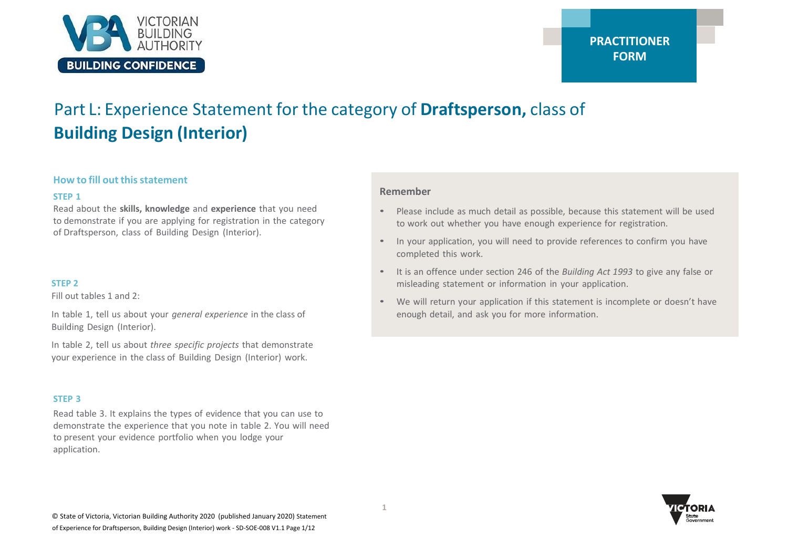

# Part L: Experience Statement for the category of **Draftsperson,** class of **Building Design (Interior)**

#### **How to fill out this statement**

#### **STEP 1**

Read about the **skills, knowledge** and **experience** that you need to demonstrate if you are applying for registration in the category of Draftsperson, class of Building Design (Interior).

#### **STEP 2**

Fill out tables 1 and 2:

In table 1, tell us about your *general experience* in the class of Building Design (Interior).

In table 2, tell us about *three specific projects* that demonstrate your experience in the class of Building Design (Interior) work.

#### **STEP 3**

Read table 3. It explains the types of evidence that you can use to demonstrate the experience that you note in table 2. You will need to present your evidence portfolio when you lodge your application.

#### **Remember**

- Please include as much detail as possible, because this statement will be used to work out whether you have enough experience for registration.
- In your application, you will need to provide references to confirm you have completed this work.
- It is an offence under section 246 of the *Building Act 1993* to give any false or misleading statement or information in your application.
- We will return your application if this statement is incomplete or doesn't have enough detail, and ask you for more information.

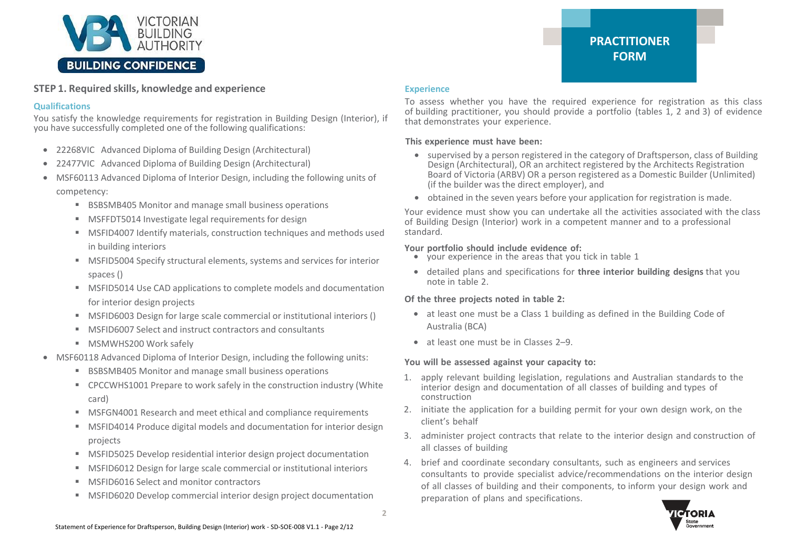

#### **STEP 1. Required skills, knowledge and experience**

#### **Qualifications**

You satisfy the knowledge requirements for registration in Building Design (Interior), if you have successfully completed one of the following qualifications:

- 22268VIC Advanced Diploma of Building Design (Architectural)
- 22477VIC Advanced Diploma of Building Design (Architectural)
- MSF60113 Advanced Diploma of Interior Design, including the following units of competency:
	- BSBSMB405 Monitor and manage small business operations
	- MSFFDT5014 Investigate legal requirements for design
	- MSFID4007 Identify materials, construction techniques and methods used in building interiors
	- MSFID5004 Specify structural elements, systems and services for interior spaces ()
	- MSFID5014 Use CAD applications to complete models and documentation for interior design projects
	- MSFID6003 Design for large scale commercial or institutional interiors ()
	- MSFID6007 Select and instruct contractors and consultants
	- MSMWHS200 Work safely
- MSF60118 Advanced Diploma of Interior Design, including the following units:
	- BSBSMB405 Monitor and manage small business operations
	- CPCCWHS1001 Prepare to work safely in the construction industry (White card)
	- MSFGN4001 Research and meet ethical and compliance requirements
	- MSFID4014 Produce digital models and documentation for interior design projects
	- MSFID5025 Develop residential interior design project documentation
	- MSFID6012 Design for large scale commercial or institutional interiors
	- **MSFID6016 Select and monitor contractors**
	- MSFID6020 Develop commercial interior design project documentation

#### **Experience**

To assess whether you have the required experience for registration as this class of building practitioner, you should provide a portfolio (tables 1, 2 and 3) of evidence that demonstrates your experience.

#### **This experience must have been:**

- supervised by a person registered in the category of Draftsperson, class of Building Design (Architectural), OR an architect registered by the Architects Registration Board of Victoria (ARBV) OR a person registered as a Domestic Builder (Unlimited) (if the builder was the direct employer), and
- obtained in the seven years before your application for registration is made.

Your evidence must show you can undertake all the activities associated with the class of Building Design (Interior) work in a competent manner and to a professional standard.

#### **Your portfolio should include evidence of:**

- your experience in the areas that you tick in table 1
- detailed plans and specifications for **three interior building designs** that you note in table 2.

#### **Of the three projects noted in table 2:**

- at least one must be a Class 1 building as defined in the Building Code of Australia (BCA)
- at least one must be in Classes 2–9.

#### **You will be assessed against your capacity to:**

- 1. apply relevant building legislation, regulations and Australian standards to the interior design and documentation of all classes of building and types of construction
- 2. initiate the application for a building permit for your own design work, on the client's behalf
- 3. administer project contracts that relate to the interior design and construction of all classes of building
- 4. brief and coordinate secondary consultants, such as engineers and services consultants to provide specialist advice/recommendations on the interior design of all classes of building and their components, to inform your design work and preparation of plans and specifications.

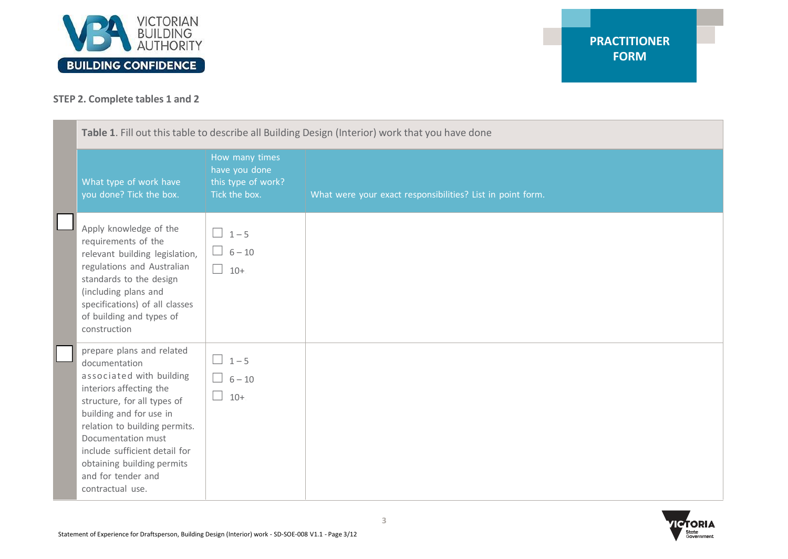

### **STEP 2. Complete tables 1 and 2**

| Table 1. Fill out this table to describe all Building Design (Interior) work that you have done                                                                                                                                                                                                                             |                                                                        |                                                            |
|-----------------------------------------------------------------------------------------------------------------------------------------------------------------------------------------------------------------------------------------------------------------------------------------------------------------------------|------------------------------------------------------------------------|------------------------------------------------------------|
| What type of work have<br>you done? Tick the box.                                                                                                                                                                                                                                                                           | How many times<br>have you done<br>this type of work?<br>Tick the box. | What were your exact responsibilities? List in point form. |
| Apply knowledge of the<br>requirements of the<br>relevant building legislation,<br>regulations and Australian<br>standards to the design<br>(including plans and<br>specifications) of all classes<br>of building and types of<br>construction                                                                              | $\Box$ 1-5<br>$\Box$ 6-10<br>П<br>$10+$                                |                                                            |
| prepare plans and related<br>documentation<br>associated with building<br>interiors affecting the<br>structure, for all types of<br>building and for use in<br>relation to building permits.<br>Documentation must<br>include sufficient detail for<br>obtaining building permits<br>and for tender and<br>contractual use. | $\Box$ 1-5<br>$6 - 10$<br>$10 +$                                       |                                                            |

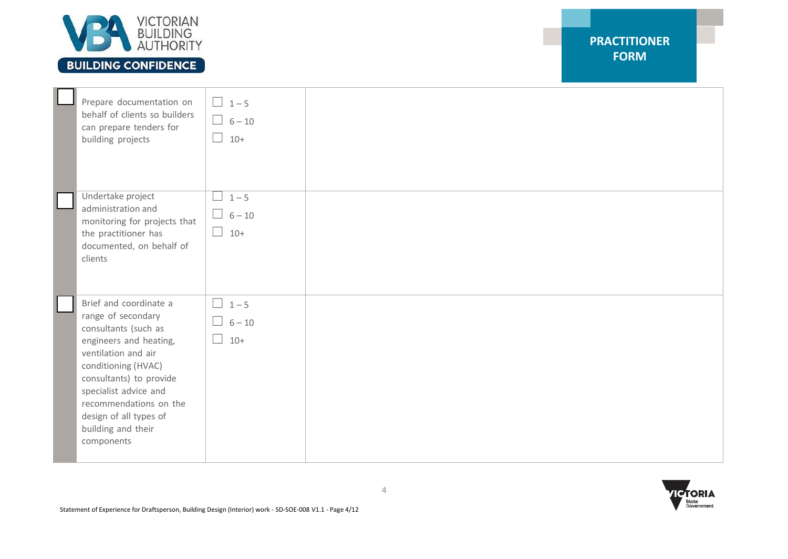

## **BUILDING CONFIDENCE**

| Prepare documentation on<br>behalf of clients so builders<br>can prepare tenders for<br>building projects                                                                                                                                                                                | $\boxed{1-5}$<br>$\Box$ 6-10<br>$\Box$ 10+       |  |  |
|------------------------------------------------------------------------------------------------------------------------------------------------------------------------------------------------------------------------------------------------------------------------------------------|--------------------------------------------------|--|--|
| Undertake project<br>administration and<br>monitoring for projects that<br>the practitioner has<br>documented, on behalf of<br>clients                                                                                                                                                   | $1 - 5$<br>$\Box$<br>$\Box$ 6 – 10<br>$\Box$ 10+ |  |  |
| Brief and coordinate a<br>range of secondary<br>consultants (such as<br>engineers and heating,<br>ventilation and air<br>conditioning (HVAC)<br>consultants) to provide<br>specialist advice and<br>recommendations on the<br>design of all types of<br>building and their<br>components | $\Box$ 1-5<br>$\Box$ 6-10<br>$\Box$ 10+          |  |  |

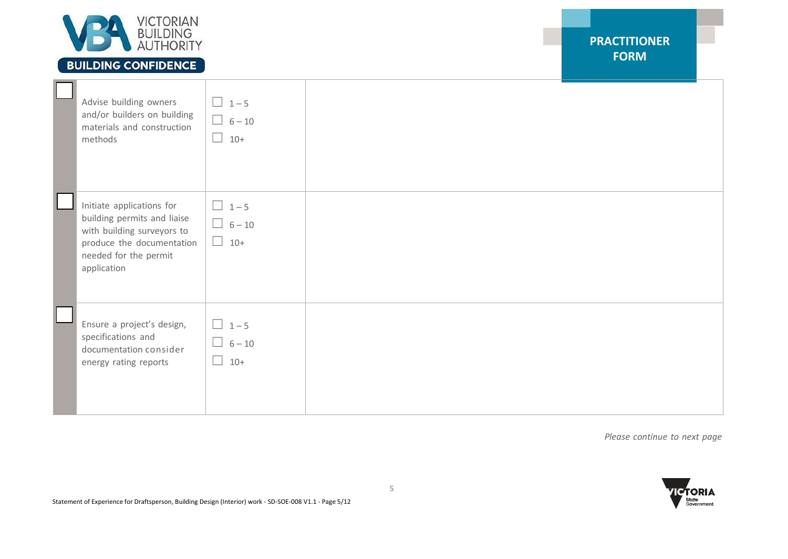

## **BUILDING CONFIDENCE**

**PRACTITIONER FORM**

| Advise building owners<br>and/or builders on building<br>materials and construction<br>methods                                                              | $\Box$ 1-5<br>$\Box$ 6-10<br>$10 +$<br>$\Box$ |  |
|-------------------------------------------------------------------------------------------------------------------------------------------------------------|-----------------------------------------------|--|
| Initiate applications for<br>building permits and liaise<br>with building surveyors to<br>produce the documentation<br>needed for the permit<br>application | $\Box$ 1-5<br>$\Box$ 6-10<br>$\Box$ 10+       |  |
| Ensure a project's design,<br>specifications and<br>documentation consider<br>energy rating reports                                                         | $\Box$ 1-5<br>$\Box$ 6-10<br>$10 +$<br>$\Box$ |  |

*Please continue to next page*

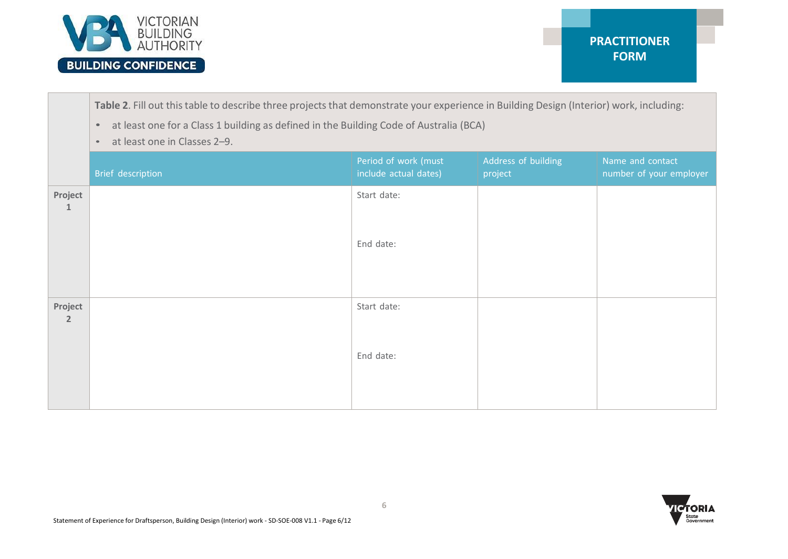

**Table 2**. Fill out thistable to describe three projects that demonstrate your experience in Building Design (Interior) work, including:

- at least one for a Class 1 building as defined in the Building Code of Australia (BCA)
- at least one in Classes 2–9.

|                           | Brief description | Period of work (must<br>include actual dates) | Address of building<br>project | Name and contact<br>number of your employer |
|---------------------------|-------------------|-----------------------------------------------|--------------------------------|---------------------------------------------|
| Project<br>$\mathbf{1}$   |                   | Start date:<br>End date:                      |                                |                                             |
|                           |                   |                                               |                                |                                             |
| Project<br>$\overline{2}$ |                   | Start date:                                   |                                |                                             |
|                           |                   | End date:                                     |                                |                                             |

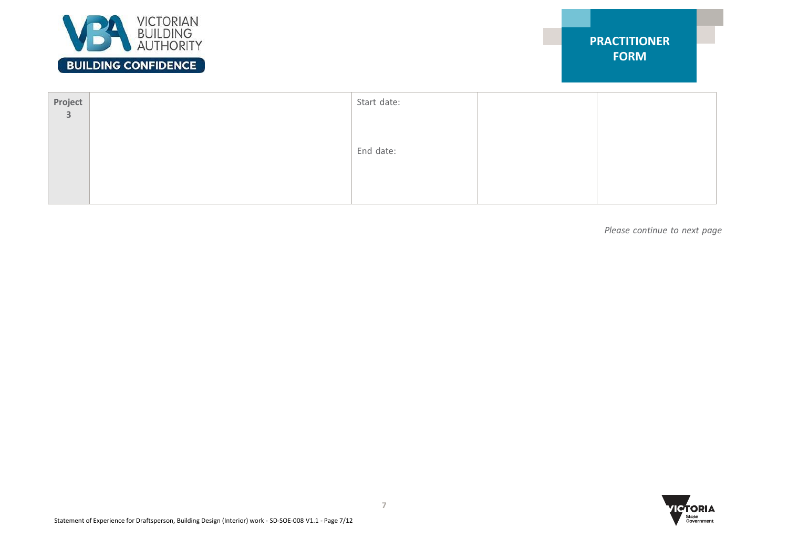

| Project<br>$\overline{\mathbf{3}}$ | Start date: |  |
|------------------------------------|-------------|--|
|                                    |             |  |
|                                    | End date:   |  |
|                                    |             |  |
|                                    |             |  |

*Please continue to next page*

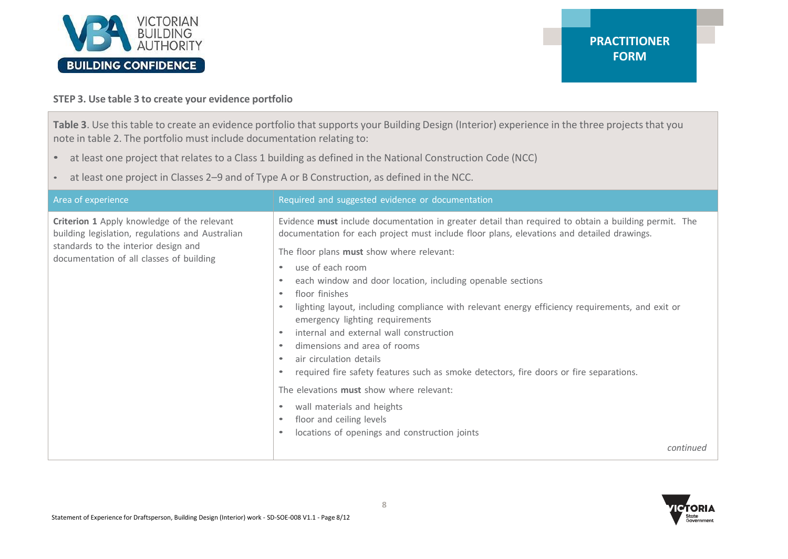

### **STEP 3. Use table 3 to create your evidence portfolio**

**Table 3**. Use thistable to create an evidence portfolio that supports your Building Design (Interior) experience in the three projects that you note in table 2. The portfolio must include documentation relating to:

- at least one project that relates to a Class 1 building as defined in the National Construction Code (NCC)
- at least one project in Classes 2–9 and of Type A or B Construction, as defined in the NCC.

| Area of experience                                                                                                                                                                  | Required and suggested evidence or documentation                                                                                                                                                                                                                                                                                                                                                                                                                                                                                                                                                                                                                                                                                                                                                                                                              |
|-------------------------------------------------------------------------------------------------------------------------------------------------------------------------------------|---------------------------------------------------------------------------------------------------------------------------------------------------------------------------------------------------------------------------------------------------------------------------------------------------------------------------------------------------------------------------------------------------------------------------------------------------------------------------------------------------------------------------------------------------------------------------------------------------------------------------------------------------------------------------------------------------------------------------------------------------------------------------------------------------------------------------------------------------------------|
| Criterion 1 Apply knowledge of the relevant<br>building legislation, regulations and Australian<br>standards to the interior design and<br>documentation of all classes of building | Evidence must include documentation in greater detail than required to obtain a building permit. The<br>documentation for each project must include floor plans, elevations and detailed drawings.<br>The floor plans must show where relevant:<br>use of each room<br>each window and door location, including openable sections<br>floor finishes<br>$\bullet$<br>lighting layout, including compliance with relevant energy efficiency requirements, and exit or<br>emergency lighting requirements<br>internal and external wall construction<br>dimensions and area of rooms<br>air circulation details<br>required fire safety features such as smoke detectors, fire doors or fire separations.<br>The elevations must show where relevant:<br>wall materials and heights<br>floor and ceiling levels<br>locations of openings and construction joints |
|                                                                                                                                                                                     | continued                                                                                                                                                                                                                                                                                                                                                                                                                                                                                                                                                                                                                                                                                                                                                                                                                                                     |

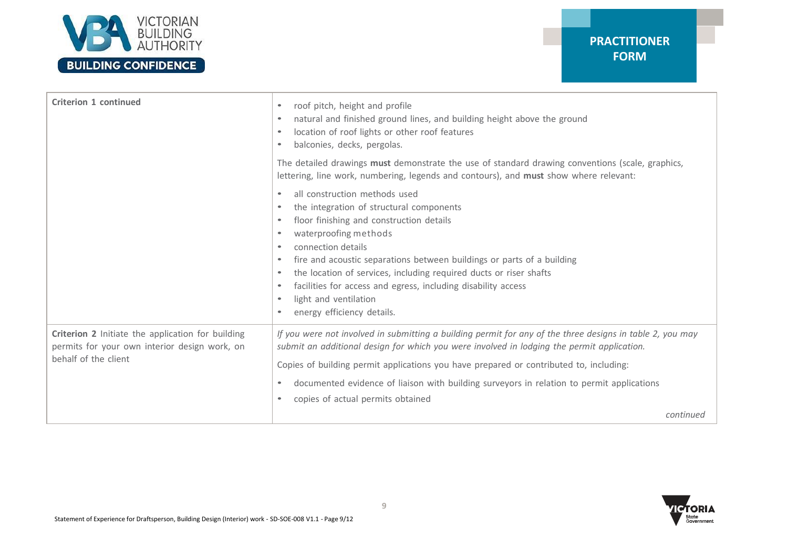

# **PRACTITIONER FORM**

| <b>Criterion 1 continued</b>                                                                                               | roof pitch, height and profile<br>$\bullet$<br>natural and finished ground lines, and building height above the ground<br>location of roof lights or other roof features<br>balconies, decks, pergolas.<br>The detailed drawings must demonstrate the use of standard drawing conventions (scale, graphics,                                                                                                                                               |
|----------------------------------------------------------------------------------------------------------------------------|-----------------------------------------------------------------------------------------------------------------------------------------------------------------------------------------------------------------------------------------------------------------------------------------------------------------------------------------------------------------------------------------------------------------------------------------------------------|
|                                                                                                                            | lettering, line work, numbering, legends and contours), and must show where relevant:                                                                                                                                                                                                                                                                                                                                                                     |
|                                                                                                                            | all construction methods used<br>the integration of structural components<br>floor finishing and construction details<br>waterproofing methods<br>connection details<br>fire and acoustic separations between buildings or parts of a building<br>the location of services, including required ducts or riser shafts<br>facilities for access and egress, including disability access<br>$\bullet$<br>light and ventilation<br>energy efficiency details. |
| Criterion 2 Initiate the application for building<br>permits for your own interior design work, on<br>behalf of the client | If you were not involved in submitting a building permit for any of the three designs in table 2, you may<br>submit an additional design for which you were involved in lodging the permit application.<br>Copies of building permit applications you have prepared or contributed to, including:<br>documented evidence of liaison with building surveyors in relation to permit applications<br>$\bullet$<br>copies of actual permits obtained          |
|                                                                                                                            | continued                                                                                                                                                                                                                                                                                                                                                                                                                                                 |

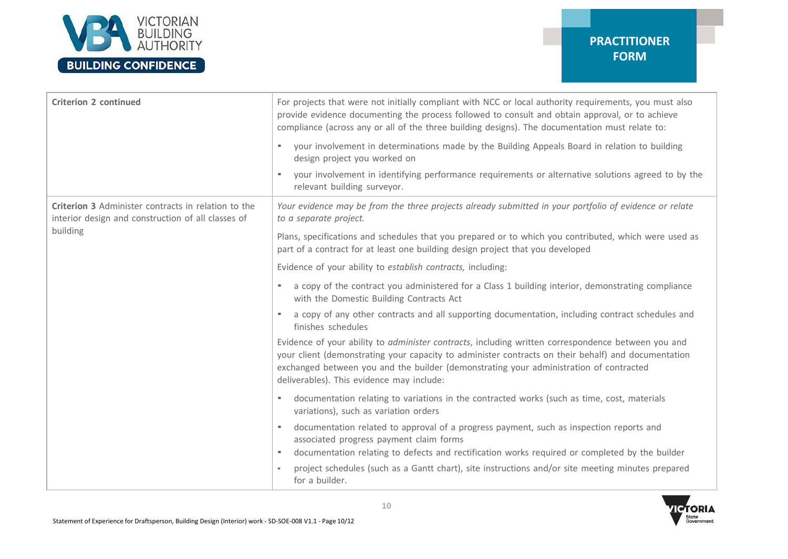

### **PRACTITIONER FORM**

| <b>Criterion 2 continued</b>                                                                                     | For projects that were not initially compliant with NCC or local authority requirements, you must also<br>provide evidence documenting the process followed to consult and obtain approval, or to achieve<br>compliance (across any or all of the three building designs). The documentation must relate to:                                     |
|------------------------------------------------------------------------------------------------------------------|--------------------------------------------------------------------------------------------------------------------------------------------------------------------------------------------------------------------------------------------------------------------------------------------------------------------------------------------------|
|                                                                                                                  | your involvement in determinations made by the Building Appeals Board in relation to building<br>design project you worked on                                                                                                                                                                                                                    |
|                                                                                                                  | your involvement in identifying performance requirements or alternative solutions agreed to by the<br>$\bullet$<br>relevant building surveyor.                                                                                                                                                                                                   |
| <b>Criterion 3</b> Administer contracts in relation to the<br>interior design and construction of all classes of | Your evidence may be from the three projects already submitted in your portfolio of evidence or relate<br>to a separate project.                                                                                                                                                                                                                 |
| building                                                                                                         | Plans, specifications and schedules that you prepared or to which you contributed, which were used as<br>part of a contract for at least one building design project that you developed                                                                                                                                                          |
|                                                                                                                  | Evidence of your ability to establish contracts, including:                                                                                                                                                                                                                                                                                      |
|                                                                                                                  | a copy of the contract you administered for a Class 1 building interior, demonstrating compliance<br>$\bullet$<br>with the Domestic Building Contracts Act                                                                                                                                                                                       |
|                                                                                                                  | a copy of any other contracts and all supporting documentation, including contract schedules and<br>finishes schedules                                                                                                                                                                                                                           |
|                                                                                                                  | Evidence of your ability to administer contracts, including written correspondence between you and<br>your client (demonstrating your capacity to administer contracts on their behalf) and documentation<br>exchanged between you and the builder (demonstrating your administration of contracted<br>deliverables). This evidence may include: |
|                                                                                                                  | documentation relating to variations in the contracted works (such as time, cost, materials<br>$\bullet$<br>variations), such as variation orders                                                                                                                                                                                                |
|                                                                                                                  | documentation related to approval of a progress payment, such as inspection reports and<br>$\bullet$<br>associated progress payment claim forms                                                                                                                                                                                                  |
|                                                                                                                  | documentation relating to defects and rectification works required or completed by the builder<br>$\bullet$                                                                                                                                                                                                                                      |
|                                                                                                                  | project schedules (such as a Gantt chart), site instructions and/or site meeting minutes prepared<br>for a builder.                                                                                                                                                                                                                              |

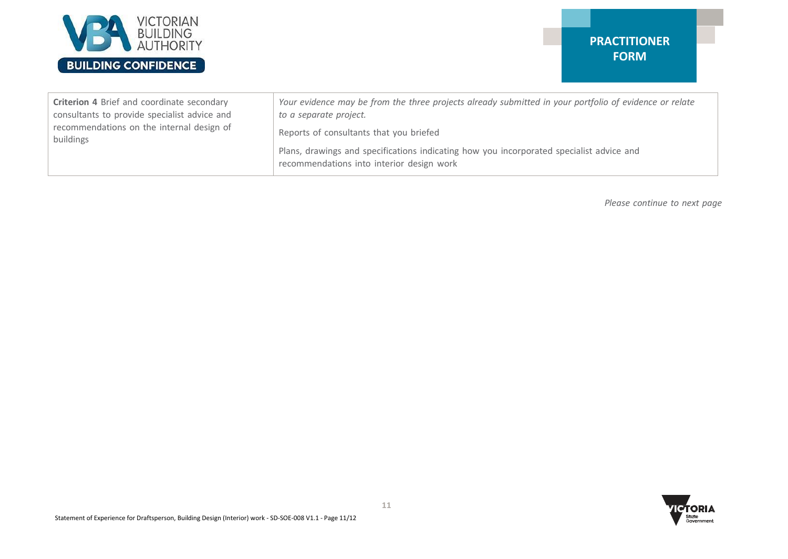

### **PRACTITIONER FORM**

| Criterion 4 Brief and coordinate secondary   | Your evidence may be from the three projects already submitted in your portfolio of evidence or relate |
|----------------------------------------------|--------------------------------------------------------------------------------------------------------|
| consultants to provide specialist advice and | to a separate project.                                                                                 |
| recommendations on the internal design of    | Reports of consultants that you briefed                                                                |
| buildings                                    | Plans, drawings and specifications indicating how you incorporated specialist advice and               |
|                                              | recommendations into interior design work                                                              |

*Please continue to next page*